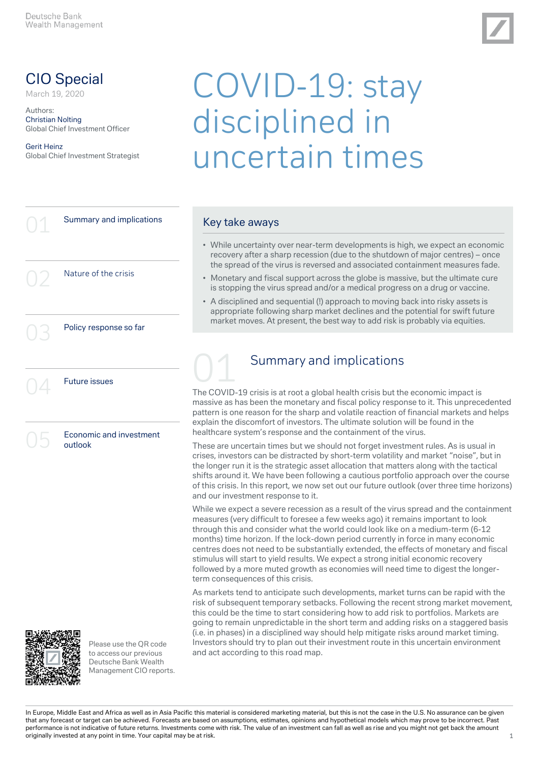

# CIO Special

March 19, 2020

Authors: Christian Nolting Global Chief Investment Officer

#### Gerit Heinz Global Chief Investment Strategist

# COVID-19: stay disciplined in uncertain times

# Summary and implications Nature of the crisis Policy response so far **Future issues** Economic and investment outlook



Please use the QR code to access our previous Deutsche Bank Wealth Management CIO reports.

#### Key take aways

- While uncertainty over near-term developments is high, we expect an economic recovery after a sharp recession (due to the shutdown of major centres) – once the spread of the virus is reversed and associated containment measures fade.
- Monetary and fiscal support across the globe is massive, but the ultimate cure is stopping the virus spread and/or a medical progress on a drug or vaccine.
- A disciplined and sequential (!) approach to moving back into risky assets is appropriate following sharp market declines and the potential for swift future market moves. At present, the best way to add risk is probably via equities.

# Summary and implications

The COVID-19 crisis is at root a global health crisis but the economic impact is massive as has been the monetary and fiscal policy response to it. This unprecedented pattern is one reason for the sharp and volatile reaction of financial markets and helps explain the discomfort of investors. The ultimate solution will be found in the healthcare system's response and the containment of the virus.

These are uncertain times but we should not forget investment rules. As is usual in crises, investors can be distracted by short-term volatility and market "noise", but in the longer run it is the strategic asset allocation that matters along with the tactical shifts around it. We have been following a cautious portfolio approach over the course of this crisis. In this report, we now set out our future outlook (over three time horizons) and our investment response to it.

While we expect a severe recession as a result of the virus spread and the containment measures (very difficult to foresee a few weeks ago) it remains important to look through this and consider what the world could look like on a medium-term (6-12 months) time horizon. If the lock-down period currently in force in many economic centres does not need to be substantially extended, the effects of monetary and fiscal stimulus will start to yield results. We expect a strong initial economic recovery followed by a more muted growth as economies will need time to digest the longerterm consequences of this crisis.

As markets tend to anticipate such developments, market turns can be rapid with the risk of subsequent temporary setbacks. Following the recent strong market movement, this could be the time to start considering how to add risk to portfolios. Markets are going to remain unpredictable in the short term and adding risks on a staggered basis (i.e. in phases) in a disciplined way should help mitigate risks around market timing. Investors should try to plan out their investment route in this uncertain environment and act according to this road map.

In Europe, Middle East and Africa as well as in Asia Pacific this material is considered marketing material, but this is not the case in the U.S. No assurance can be given that any forecast or target can be achieved. Forecasts are based on assumptions, estimates, opinions and hypothetical models which may prove to be incorrect. Past performance is not indicative of future returns. Investments come with risk. The value of an investment can fall as well as rise and you might not get back the amount originally invested at any point in time. Your capital may be at risk.  $1$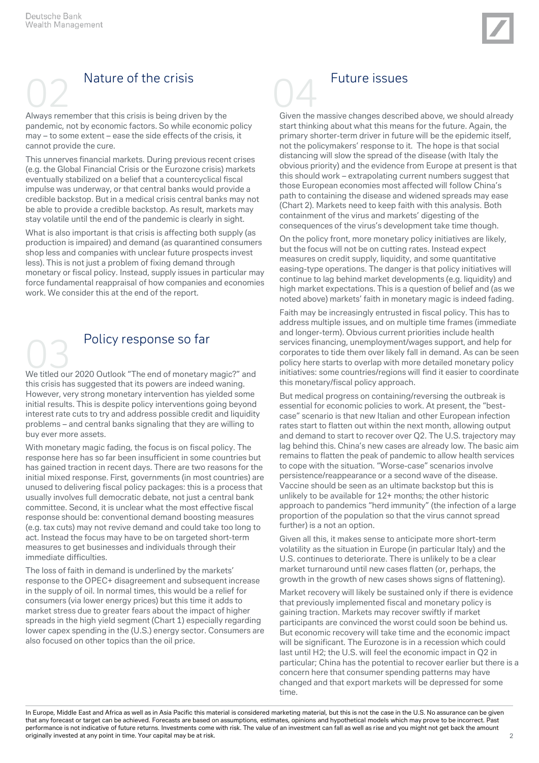

# Nature of the crisis

Always remember that this crisis is being driven by the pandemic, not by economic factors. So while economic policy may – to some extent – ease the side effects of the crisis, it cannot provide the cure.

This unnerves financial markets. During previous recent crises (e.g. the Global Financial Crisis or the Eurozone crisis) markets eventually stabilized on a belief that a countercyclical fiscal impulse was underway, or that central banks would provide a credible backstop. But in a medical crisis central banks may not be able to provide a credible backstop. As result, markets may stay volatile until the end of the pandemic is clearly in sight.

What is also important is that crisis is affecting both supply (as production is impaired) and demand (as quarantined consumers shop less and companies with unclear future prospects invest less). This is not just a problem of fixing demand through monetary or fiscal policy. Instead, supply issues in particular may force fundamental reappraisal of how companies and economies work. We consider this at the end of the report.

# We titled our 2020 Outlook "The end of monetary magic?" and Policy response so far

this crisis has suggested that its powers are indeed waning. However, very strong monetary intervention has yielded some initial results. This is despite policy interventions going beyond interest rate cuts to try and address possible credit and liquidity problems – and central banks signaling that they are willing to buy ever more assets.

With monetary magic fading, the focus is on fiscal policy. The response here has so far been insufficient in some countries but has gained traction in recent days. There are two reasons for the initial mixed response. First, governments (in most countries) are unused to delivering fiscal policy packages: this is a process that usually involves full democratic debate, not just a central bank committee. Second, it is unclear what the most effective fiscal response should be: conventional demand boosting measures (e.g. tax cuts) may not revive demand and could take too long to act. Instead the focus may have to be on targeted short-term measures to get businesses and individuals through their immediate difficulties.

The loss of faith in demand is underlined by the markets' response to the OPEC+ disagreement and subsequent increase in the supply of oil. In normal times, this would be a relief for consumers (via lower energy prices) but this time it adds to market stress due to greater fears about the impact of higher spreads in the high yield segment (Chart 1) especially regarding lower capex spending in the (U.S.) energy sector. Consumers are also focused on other topics than the oil price.



# **Future issues**

Given the massive changes described above, we should already start thinking about what this means for the future. Again, the primary shorter-term driver in future will be the epidemic itself, not the policymakers' response to it. The hope is that social distancing will slow the spread of the disease (with Italy the obvious priority) and the evidence from Europe at present is that this should work – extrapolating current numbers suggest that those European economies most affected will follow China's path to containing the disease and widened spreads may ease (Chart 2). Markets need to keep faith with this analysis. Both containment of the virus and markets' digesting of the consequences of the virus's development take time though.

On the policy front, more monetary policy initiatives are likely, but the focus will not be on cutting rates. Instead expect measures on credit supply, liquidity, and some quantitative easing-type operations. The danger is that policy initiatives will continue to lag behind market developments (e.g. liquidity) and high market expectations. This is a question of belief and (as we noted above) markets' faith in monetary magic is indeed fading.

Faith may be increasingly entrusted in fiscal policy. This has to address multiple issues, and on multiple time frames (immediate and longer-term). Obvious current priorities include health services financing, unemployment/wages support, and help for corporates to tide them over likely fall in demand. As can be seen policy here starts to overlap with more detailed monetary policy initiatives: some countries/regions will find it easier to coordinate this monetary/fiscal policy approach.

But medical progress on containing/reversing the outbreak is essential for economic policies to work. At present, the "bestcase" scenario is that new Italian and other European infection rates start to flatten out within the next month, allowing output and demand to start to recover over Q2. The U.S. trajectory may lag behind this. China's new cases are already low. The basic aim remains to flatten the peak of pandemic to allow health services to cope with the situation. "Worse-case" scenarios involve persistence/reappearance or a second wave of the disease. Vaccine should be seen as an ultimate backstop but this is unlikely to be available for 12+ months; the other historic approach to pandemics "herd immunity" (the infection of a large proportion of the population so that the virus cannot spread further) is a not an option.

Given all this, it makes sense to anticipate more short-term volatility as the situation in Europe (in particular Italy) and the U.S. continues to deteriorate. There is unlikely to be a clear market turnaround until new cases flatten (or, perhaps, the growth in the growth of new cases shows signs of flattening).

Market recovery will likely be sustained only if there is evidence that previously implemented fiscal and monetary policy is gaining traction. Markets may recover swiftly if market participants are convinced the worst could soon be behind us. But economic recovery will take time and the economic impact will be significant. The Eurozone is in a recession which could last until H2; the U.S. will feel the economic impact in Q2 in particular; China has the potential to recover earlier but there is a concern here that consumer spending patterns may have changed and that export markets will be depressed for some time.

In Europe, Middle East and Africa as well as in Asia Pacific this material is considered marketing material, but this is not the case in the U.S. No assurance can be given that any forecast or target can be achieved. Forecasts are based on assumptions, estimates, opinions and hypothetical models which may prove to be incorrect. Past performance is not indicative of future returns. Investments come with risk. The value of an investment can fall as well as rise and you might not get back the amount originally invested at any point in time. Your capital may be at risk. 2008. 2018. The contract of the contract of the contract of the contract of the contract of the contract of the contract of the contract of the contrac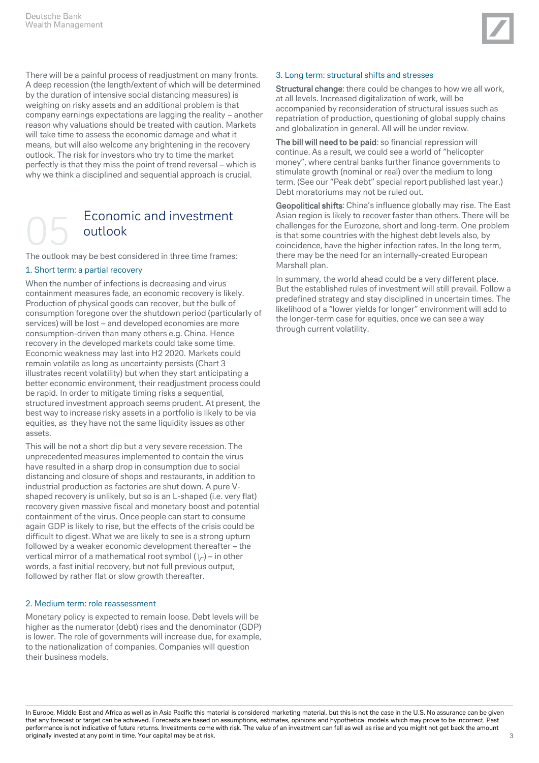

There will be a painful process of readjustment on many fronts. A deep recession (the length/extent of which will be determined by the duration of intensive social distancing measures) is weighing on risky assets and an additional problem is that company earnings expectations are lagging the reality – another reason why valuations should be treated with caution. Markets will take time to assess the economic damage and what it means, but will also welcome any brightening in the recovery outlook. The risk for investors who try to time the market perfectly is that they miss the point of trend reversal – which is why we think a disciplined and sequential approach is crucial.

# Economic and investment outlook

The outlook may be best considered in three time frames:

#### 1. Short term: a partial recovery

When the number of infections is decreasing and virus containment measures fade, an economic recovery is likely. Production of physical goods can recover, but the bulk of consumption foregone over the shutdown period (particularly of services) will be lost – and developed economies are more consumption-driven than many others e.g. China. Hence recovery in the developed markets could take some time. Economic weakness may last into H2 2020. Markets could remain volatile as long as uncertainty persists (Chart 3 illustrates recent volatility) but when they start anticipating a better economic environment, their readjustment process could be rapid. In order to mitigate timing risks a sequential, structured investment approach seems prudent. At present, the best way to increase risky assets in a portfolio is likely to be via equities, as they have not the same liquidity issues as other assets.

This will be not a short dip but a very severe recession. The unprecedented measures implemented to contain the virus have resulted in a sharp drop in consumption due to social distancing and closure of shops and restaurants, in addition to industrial production as factories are shut down. A pure Vshaped recovery is unlikely, but so is an L-shaped (i.e. very flat) recovery given massive fiscal and monetary boost and potential containment of the virus. Once people can start to consume again GDP is likely to rise, but the effects of the crisis could be difficult to digest. What we are likely to see is a strong upturn followed by a weaker economic development thereafter – the vertical mirror of a mathematical root symbol  $(\n\cdot)$  – in other words, a fast initial recovery, but not full previous output, followed by rather flat or slow growth thereafter.

#### 2. Medium term: role reassessment

Monetary policy is expected to remain loose. Debt levels will be higher as the numerator (debt) rises and the denominator (GDP) is lower. The role of governments will increase due, for example, to the nationalization of companies. Companies will question their business models.

#### 3. Long term: structural shifts and stresses

Structural change: there could be changes to how we all work, at all levels. Increased digitalization of work, will be accompanied by reconsideration of structural issues such as repatriation of production, questioning of global supply chains and globalization in general. All will be under review.

The bill will need to be paid: so financial repression will continue. As a result, we could see a world of "helicopter money", where central banks further finance governments to stimulate growth (nominal or real) over the medium to long term. (See our "Peak debt" special report published last year.) Debt moratoriums may not be ruled out.

Geopolitical shifts: China's influence globally may rise. The East Asian region is likely to recover faster than others. There will be challenges for the Eurozone, short and long-term. One problem is that some countries with the highest debt levels also, by coincidence, have the higher infection rates. In the long term, there may be the need for an internally-created European Marshall plan.

In summary, the world ahead could be a very different place. But the established rules of investment will still prevail. Follow a predefined strategy and stay disciplined in uncertain times. The likelihood of a "lower yields for longer" environment will add to the longer-term case for equities, once we can see a way through current volatility.

In Europe, Middle East and Africa as well as in Asia Pacific this material is considered marketing material, but this is not the case in the U.S. No assurance can be given that any forecast or target can be achieved. Forecasts are based on assumptions, estimates, opinions and hypothetical models which may prove to be incorrect. Past performance is not indicative of future returns. Investments come with risk. The value of an investment can fall as well as rise and you might not get back the amount originally invested at any point in time. Your capital may be at risk.  $\sim$  3 and 2008 at 2008 at 2008 at 2008 at 2008 at 2008 at 2008 at 2008 at 2008 at 2008 at 2008 at 2008 at 2008 at 2008 at 2008 at 2008 at 2008 at 2008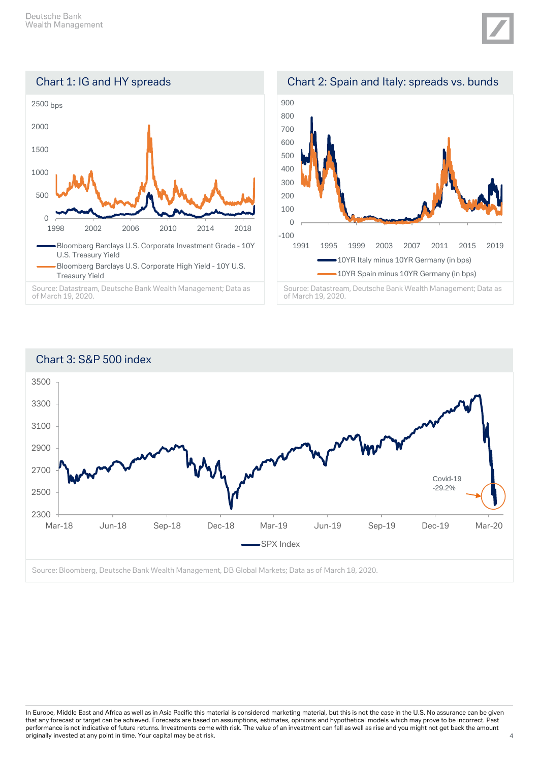





Source: Datastream, Deutsche Bank Wealth Management; Data as of March 19, 2020.





of March 19, 2020.

Source: Bloomberg, Deutsche Bank Wealth Management, DB Global Markets; Data as of March 18, 2020.

In Europe, Middle East and Africa as well as in Asia Pacific this material is considered marketing material, but this is not the case in the U.S. No assurance can be given that any forecast or target can be achieved. Forecasts are based on assumptions, estimates, opinions and hypothetical models which may prove to be incorrect. Past performance is not indicative of future returns. Investments come with risk. The value of an investment can fall as well as rise and you might not get back the amount originally invested at any point in time. Your capital may be at risk.  $\frac{4}{3}$  and  $\frac{4}{3}$  and  $\frac{4}{3}$  and  $\frac{4}{3}$  and  $\frac{4}{3}$  and  $\frac{4}{3}$  and  $\frac{4}{3}$  and  $\frac{4}{3}$  and  $\frac{4}{3}$  and  $\frac{4}{3}$  and  $\frac{4}{3}$  a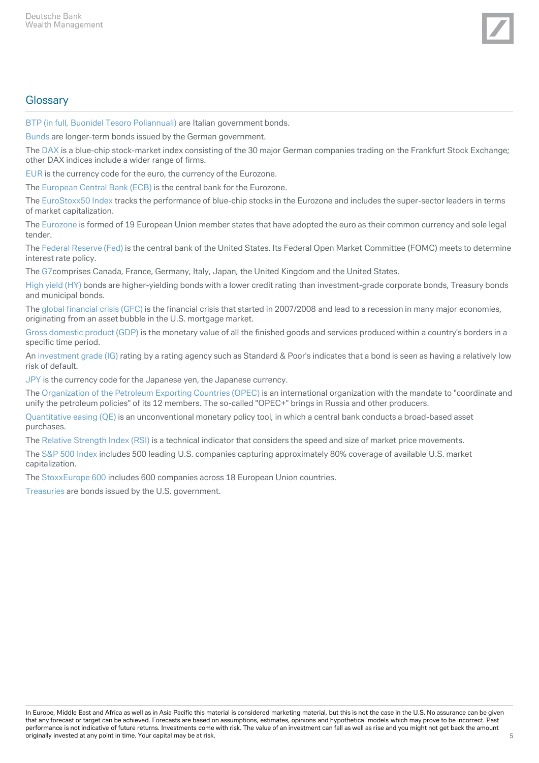

## **Glossary**

BTP (in full, Buonidel Tesoro Poliannuali) are Italian government bonds.

Bunds are longer-term bonds issued by the German government.

The DAX is a blue-chip stock-market index consisting of the 30 major German companies trading on the Frankfurt Stock Exchange; other DAX indices include a wider range of firms.

EUR is the currency code for the euro, the currency of the Eurozone.

The European Central Bank (ECB) is the central bank for the Eurozone.

The EuroStoxx50 Index tracks the performance of blue-chip stocks in the Eurozone and includes the super-sector leaders in terms of market capitalization.

The Eurozone is formed of 19 European Union member states that have adopted the euro as their common currency and sole legal tender.

The Federal Reserve (Fed) is the central bank of the United States. Its Federal Open Market Committee (FOMC) meets to determine interest rate policy.

The G7comprises Canada, France, Germany, Italy, Japan, the United Kingdom and the United States.

High yield (HY) bonds are higher-yielding bonds with a lower credit rating than investment-grade corporate bonds, Treasury bonds and municipal bonds.

The global financial crisis (GFC) is the financial crisis that started in 2007/2008 and lead to a recession in many major economies, originating from an asset bubble in the U.S. mortgage market.

Gross domestic product (GDP) is the monetary value of all the finished goods and services produced within a country's borders in a specific time period.

An investment grade (IG) rating by a rating agency such as Standard & Poor's indicates that a bond is seen as having a relatively low risk of default.

JPY is the currency code for the Japanese yen, the Japanese currency.

The Organization of the Petroleum Exporting Countries (OPEC) is an international organization with the mandate to "coordinate and unify the petroleum policies" of its 12 members. The so-called "OPEC+" brings in Russia and other producers.

Quantitative easing (QE) is an unconventional monetary policy tool, in which a central bank conducts a broad-based asset purchases.

The Relative Strength Index (RSI) is a technical indicator that considers the speed and size of market price movements.

The S&P 500 Index includes 500 leading U.S. companies capturing approximately 80% coverage of available U.S. market capitalization.

The StoxxEurope 600 includes 600 companies across 18 European Union countries.

Treasuries are bonds issued by the U.S. government.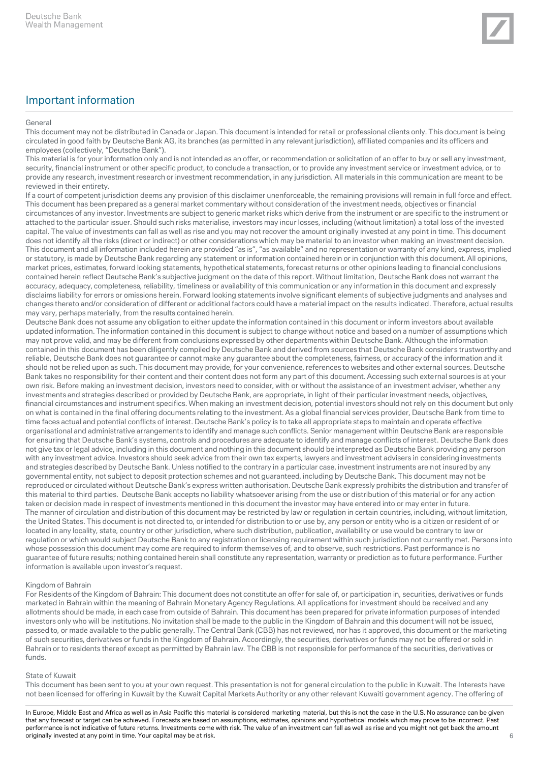#### General

This document may not be distributed in Canada or Japan. This document is intended for retail or professional clients only. This document is being circulated in good faith by Deutsche Bank AG, its branches (as permitted in any relevant jurisdiction), affiliated companies and its officers and employees (collectively, "Deutsche Bank").

This material is for your information only and is not intended as an offer, or recommendation or solicitation of an offer to buy or sell any investment, security, financial instrument or other specific product, to conclude a transaction, or to provide any investment service or investment advice, or to provide any research, investment research or investment recommendation, in any jurisdiction. All materials in this communication are meant to be reviewed in their entirety.

If a court of competent jurisdiction deems any provision of this disclaimer unenforceable, the remaining provisions will remain in full force and effect. This document has been prepared as a general market commentary without consideration of the investment needs, objectives or financial circumstances of any investor. Investments are subject to generic market risks which derive from the instrument or are specific to the instrument or attached to the particular issuer. Should such risks materialise, investors may incur losses, including (without limitation) a total loss of the invested capital. The value of investments can fall as well as rise and you may not recover the amount originally invested at any point in time. This document does not identify all the risks (direct or indirect) or other considerations which may be material to an investor when making an investment decision. This document and all information included herein are provided "as is", "as available" and no representation or warranty of any kind, express, implied or statutory, is made by Deutsche Bank regarding any statement or information contained herein or in conjunction with this document. All opinions, market prices, estimates, forward looking statements, hypothetical statements, forecast returns or other opinions leading to financial conclusions contained herein reflect Deutsche Bank's subjective judgment on the date of this report. Without limitation, Deutsche Bank does not warrant the accuracy, adequacy, completeness, reliability, timeliness or availability of this communication or any information in this document and expressly disclaims liability for errors or omissions herein. Forward looking statements involve significant elements of subjective judgments and analyses and changes thereto and/or consideration of different or additional factors could have a material impact on the results indicated. Therefore, actual results may vary, perhaps materially, from the results contained herein.

Deutsche Bank does not assume any obligation to either update the information contained in this document or inform investors about available updated information. The information contained in this document is subject to change without notice and based on a number of assumptions which may not prove valid, and may be different from conclusions expressed by other departments within Deutsche Bank. Although the information contained in this document has been diligently compiled by Deutsche Bank and derived from sources that Deutsche Bank considers trustworthy and reliable, Deutsche Bank does not guarantee or cannot make any guarantee about the completeness, fairness, or accuracy of the information and it should not be relied upon as such. This document may provide, for your convenience, references to websites and other external sources. Deutsche Bank takes no responsibility for their content and their content does not form any part of this document. Accessing such external sources is at your own risk. Before making an investment decision, investors need to consider, with or without the assistance of an investment adviser, whether any investments and strategies described or provided by Deutsche Bank, are appropriate, in light of their particular investment needs, objectives, financial circumstances and instrument specifics. When making an investment decision, potential investors should not rely on this document but only on what is contained in the final offering documents relating to the investment. As a global financial services provider, Deutsche Bank from time to time faces actual and potential conflicts of interest. Deutsche Bank's policy is to take all appropriate steps to maintain and operate effective organisational and administrative arrangements to identify and manage such conflicts. Senior management within Deutsche Bank are responsible for ensuring that Deutsche Bank's systems, controls and procedures are adequate to identify and manage conflicts of interest. Deutsche Bank does not give tax or legal advice, including in this document and nothing in this document should be interpreted as Deutsche Bank providing any person with any investment advice. Investors should seek advice from their own tax experts, lawyers and investment advisers in considering investments and strategies described by Deutsche Bank. Unless notified to the contrary in a particular case, investment instruments are not insured by any governmental entity, not subject to deposit protection schemes and not guaranteed, including by Deutsche Bank. This document may not be reproduced or circulated without Deutsche Bank's express written authorisation. Deutsche Bank expressly prohibits the distribution and transfer of this material to third parties. Deutsche Bank accepts no liability whatsoever arising from the use or distribution of this material or for any action taken or decision made in respect of investments mentioned in this document the investor may have entered into or may enter in future. The manner of circulation and distribution of this document may be restricted by law or regulation in certain countries, including, without limitation, the United States. This document is not directed to, or intended for distribution to or use by, any person or entity who is a citizen or resident of or located in any locality, state, country or other jurisdiction, where such distribution, publication, availability or use would be contrary to law or regulation or which would subject Deutsche Bank to any registration or licensing requirement within such jurisdiction not currently met. Persons into whose possession this document may come are required to inform themselves of, and to observe, such restrictions. Past performance is no guarantee of future results; nothing contained herein shall constitute any representation, warranty or prediction as to future performance. Further information is available upon investor's request.

#### Kingdom of Bahrain

For Residents of the Kingdom of Bahrain: This document does not constitute an offer for sale of, or participation in, securities, derivatives or funds marketed in Bahrain within the meaning of Bahrain Monetary Agency Regulations. All applications for investment should be received and any allotments should be made, in each case from outside of Bahrain. This document has been prepared for private information purposes of intended investors only who will be institutions. No invitation shall be made to the public in the Kingdom of Bahrain and this document will not be issued, passed to, or made available to the public generally. The Central Bank (CBB) has not reviewed, nor has it approved, this document or the marketing of such securities, derivatives or funds in the Kingdom of Bahrain. Accordingly, the securities, derivatives or funds may not be offered or sold in Bahrain or to residents thereof except as permitted by Bahrain law. The CBB is not responsible for performance of the securities, derivatives or funds.

#### State of Kuwait

This document has been sent to you at your own request. This presentation is not for general circulation to the public in Kuwait. The Interests have not been licensed for offering in Kuwait by the Kuwait Capital Markets Authority or any other relevant Kuwaiti government agency. The offering of

In Europe, Middle East and Africa as well as in Asia Pacific this material is considered marketing material, but this is not the case in the U.S. No assurance can be given that any forecast or target can be achieved. Forecasts are based on assumptions, estimates, opinions and hypothetical models which may prove to be incorrect. Past performance is not indicative of future returns. Investments come with risk. The value of an investment can fall as well as rise and you might not get back the amount originally invested at any point in time. Your capital may be at risk.  $6\,$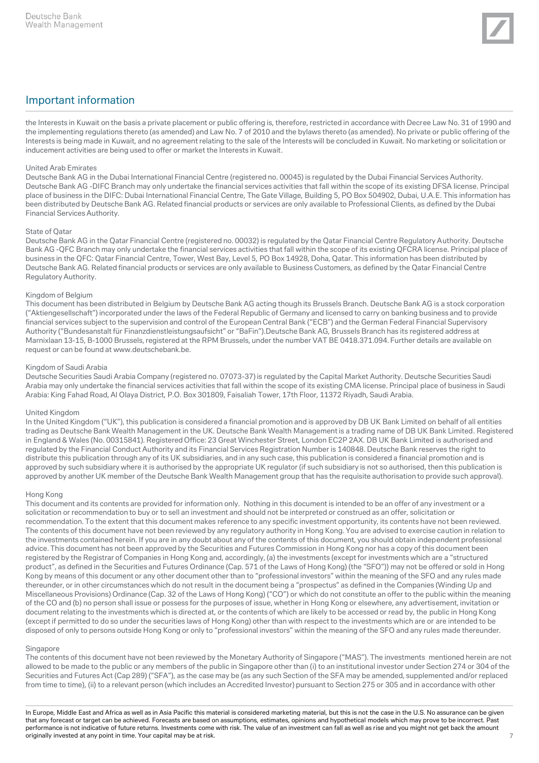

the Interests in Kuwait on the basis a private placement or public offering is, therefore, restricted in accordance with Decree Law No. 31 of 1990 and the implementing regulations thereto (as amended) and Law No. 7 of 2010 and the bylaws thereto (as amended). No private or public offering of the Interests is being made in Kuwait, and no agreement relating to the sale of the Interests will be concluded in Kuwait. No marketing or solicitation or inducement activities are being used to offer or market the Interests in Kuwait.

#### United Arab Emirates

Deutsche Bank AG in the Dubai International Financial Centre (registered no. 00045) is regulated by the Dubai Financial Services Authority. Deutsche Bank AG -DIFC Branch may only undertake the financial services activities that fall within the scope of its existing DFSA license. Principal place of business in the DIFC: Dubai International Financial Centre, The Gate Village, Building 5, PO Box 504902, Dubai, U.A.E. This information has been distributed by Deutsche Bank AG. Related financial products or services are only available to Professional Clients, as defined by the Dubai Financial Services Authority.

#### State of Qatar

Deutsche Bank AG in the Qatar Financial Centre (registered no. 00032) is regulated by the Qatar Financial Centre Regulatory Authority. Deutsche Bank AG -QFC Branch may only undertake the financial services activities that fall within the scope of its existing QFCRA license. Principal place of business in the QFC: Qatar Financial Centre, Tower, West Bay, Level 5, PO Box 14928, Doha, Qatar. This information has been distributed by Deutsche Bank AG. Related financial products or services are only available to Business Customers, as defined by the Qatar Financial Centre Regulatory Authority.

#### Kingdom of Belgium

This document has been distributed in Belgium by Deutsche Bank AG acting though its Brussels Branch. Deutsche Bank AG is a stock corporation ("Aktiengesellschaft") incorporated under the laws of the Federal Republic of Germany and licensed to carry on banking business and to provide financial services subject to the supervision and control of the European Central Bank ("ECB") and the German Federal Financial Supervisory Authority ("Bundesanstalt für Finanzdienstleistungsaufsicht" or "BaFin").Deutsche Bank AG, Brussels Branch has its registered address at Marnixlaan 13-15, B-1000 Brussels, registered at the RPM Brussels, under the number VAT BE 0418.371.094. Further details are available on request or can be found at www.deutschebank.be.

#### Kingdom of Saudi Arabia

Deutsche Securities Saudi Arabia Company (registered no. 07073-37) is regulated by the Capital Market Authority. Deutsche Securities Saudi Arabia may only undertake the financial services activities that fall within the scope of its existing CMA license. Principal place of business in Saudi Arabia: King Fahad Road, Al Olaya District, P.O. Box 301809, Faisaliah Tower, 17th Floor, 11372 Riyadh, Saudi Arabia.

#### United Kingdom

In the United Kingdom ("UK"), this publication is considered a financial promotion and is approved by DB UK Bank Limited on behalf of all entities trading as Deutsche Bank Wealth Management in the UK. Deutsche Bank Wealth Management is a trading name of DB UK Bank Limited. Registered in England & Wales (No. 00315841). Registered Office: 23 Great Winchester Street, London EC2P 2AX. DB UK Bank Limited is authorised and regulated by the Financial Conduct Authority and its Financial Services Registration Number is 140848. Deutsche Bank reserves the right to distribute this publication through any of its UK subsidiaries, and in any such case, this publication is considered a financial promotion and is approved by such subsidiary where it is authorised by the appropriate UK regulator (if such subsidiary is not so authorised, then this publication is approved by another UK member of the Deutsche Bank Wealth Management group that has the requisite authorisation to provide such approval).

#### Hong Kong

This document and its contents are provided for information only. Nothing in this document is intended to be an offer of any investment or a solicitation or recommendation to buy or to sell an investment and should not be interpreted or construed as an offer, solicitation or recommendation. To the extent that this document makes reference to any specific investment opportunity, its contents have not been reviewed. The contents of this document have not been reviewed by any regulatory authority in Hong Kong. You are advised to exercise caution in relation to the investments contained herein. If you are in any doubt about any of the contents of this document, you should obtain independent professional advice. This document has not been approved by the Securities and Futures Commission in Hong Kong nor has a copy of this document been registered by the Registrar of Companies in Hong Kong and, accordingly, (a) the investments (except for investments which are a "structured product", as defined in the Securities and Futures Ordinance (Cap. 571 of the Laws of Hong Kong) (the "SFO")) may not be offered or sold in Hong Kong by means of this document or any other document other than to "professional investors" within the meaning of the SFO and any rules made thereunder, or in other circumstances which do not result in the document being a "prospectus" as defined in the Companies (Winding Up and Miscellaneous Provisions) Ordinance (Cap. 32 of the Laws of Hong Kong) ("CO") or which do not constitute an offer to the public within the meaning of the CO and (b) no person shall issue or possess for the purposes of issue, whether in Hong Kong or elsewhere, any advertisement, invitation or document relating to the investments which is directed at, or the contents of which are likely to be accessed or read by, the public in Hong Kong (except if permitted to do so under the securities laws of Hong Kong) other than with respect to the investments which are or are intended to be disposed of only to persons outside Hong Kong or only to "professional investors" within the meaning of the SFO and any rules made thereunder.

#### Singapore

The contents of this document have not been reviewed by the Monetary Authority of Singapore ("MAS"). The investments mentioned herein are not allowed to be made to the public or any members of the public in Singapore other than (i) to an institutional investor under Section 274 or 304 of the Securities and Futures Act (Cap 289) ("SFA"), as the case may be (as any such Section of the SFA may be amended, supplemented and/or replaced from time to time), (ii) to a relevant person (which includes an Accredited Investor) pursuant to Section 275 or 305 and in accordance with other

In Europe, Middle East and Africa as well as in Asia Pacific this material is considered marketing material, but this is not the case in the U.S. No assurance can be given that any forecast or target can be achieved. Forecasts are based on assumptions, estimates, opinions and hypothetical models which may prove to be incorrect. Past performance is not indicative of future returns. Investments come with risk. The value of an investment can fall as well as rise and you might not get back the amount originally invested at any point in time. Your capital may be at risk. The contract of the contract of the contract of the contract of the contract of the contract of the contract of the contract of the contract of the con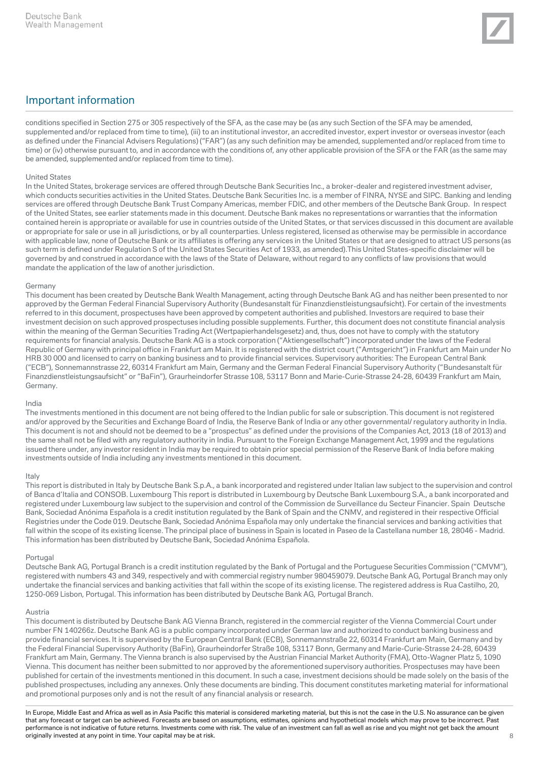

conditions specified in Section 275 or 305 respectively of the SFA, as the case may be (as any such Section of the SFA may be amended, supplemented and/or replaced from time to time), (iii) to an institutional investor, an accredited investor, expert investor or overseas investor (each as defined under the Financial Advisers Regulations) ("FAR") (as any such definition may be amended, supplemented and/or replaced from time to time) or (iv) otherwise pursuant to, and in accordance with the conditions of, any other applicable provision of the SFA or the FAR (as the same may be amended, supplemented and/or replaced from time to time).

#### United States

In the United States, brokerage services are offered through Deutsche Bank Securities Inc., a broker-dealer and registered investment adviser, which conducts securities activities in the United States. Deutsche Bank Securities Inc. is a member of FINRA, NYSE and SIPC. Banking and lending services are offered through Deutsche Bank Trust Company Americas, member FDIC, and other members of the Deutsche Bank Group. In respect of the United States, see earlier statements made in this document. Deutsche Bank makes no representations or warranties that the information contained herein is appropriate or available for use in countries outside of the United States, or that services discussed in this document are available or appropriate for sale or use in all jurisdictions, or by all counterparties. Unless registered, licensed as otherwise may be permissible in accordance with applicable law, none of Deutsche Bank or its affiliates is offering any services in the United States or that are designed to attract US persons (as such term is defined under Regulation S of the United States Securities Act of 1933, as amended).This United States-specific disclaimer will be governed by and construed in accordance with the laws of the State of Delaware, without regard to any conflicts of law provisions that would mandate the application of the law of another jurisdiction.

#### Germany

This document has been created by Deutsche Bank Wealth Management, acting through Deutsche Bank AG and has neither been presented to nor approved by the German Federal Financial Supervisory Authority (Bundesanstalt für Finanzdienstleistungsaufsicht). For certain of the investments referred to in this document, prospectuses have been approved by competent authorities and published. Investors are required to base their investment decision on such approved prospectuses including possible supplements. Further, this document does not constitute financial analysis within the meaning of the German Securities Trading Act (Wertpapierhandelsgesetz) and, thus, does not have to comply with the statutory requirements for financial analysis. Deutsche Bank AG is a stock corporation ("Aktiengesellschaft") incorporated under the laws of the Federal Republic of Germany with principal office in Frankfurt am Main. It is registered with the district court ("Amtsgericht") in Frankfurt am Main under No HRB 30 000 and licensed to carry on banking business and to provide financial services. Supervisory authorities: The European Central Bank ("ECB"), Sonnemannstrasse 22, 60314 Frankfurt am Main, Germany and the German Federal Financial Supervisory Authority ("Bundesanstalt für Finanzdienstleistungsaufsicht" or "BaFin"), Graurheindorfer Strasse 108, 53117 Bonn and Marie-Curie-Strasse 24-28, 60439 Frankfurt am Main, Germany.

#### India

The investments mentioned in this document are not being offered to the Indian public for sale or subscription. This document is not registered and/or approved by the Securities and Exchange Board of India, the Reserve Bank of India or any other governmental/ regulatory authority in India. This document is not and should not be deemed to be a "prospectus" as defined under the provisions of the Companies Act, 2013 (18 of 2013) and the same shall not be filed with any regulatory authority in India. Pursuant to the Foreign Exchange Management Act, 1999 and the regulations issued there under, any investor resident in India may be required to obtain prior special permission of the Reserve Bank of India before making investments outside of India including any investments mentioned in this document.

#### Italy

This report is distributed in Italy by Deutsche Bank S.p.A., a bank incorporated and registered under Italian law subject to the supervision and control of Banca d'Italia and CONSOB. Luxembourg This report is distributed in Luxembourg by Deutsche Bank Luxembourg S.A., a bank incorporated and registered under Luxembourg law subject to the supervision and control of the Commission de Surveillance du Secteur Financier. Spain Deutsche Bank, Sociedad Anónima Española is a credit institution regulated by the Bank of Spain and the CNMV, and registered in their respective Official Registries under the Code 019. Deutsche Bank, Sociedad Anónima Española may only undertake the financial services and banking activities that fall within the scope of its existing license. The principal place of business in Spain is located in Paseo de la Castellana number 18, 28046 - Madrid. This information has been distributed by Deutsche Bank, Sociedad Anónima Española.

#### Portugal

Deutsche Bank AG, Portugal Branch is a credit institution regulated by the Bank of Portugal and the Portuguese Securities Commission ("CMVM"), registered with numbers 43 and 349, respectively and with commercial registry number 980459079. Deutsche Bank AG, Portugal Branch may only undertake the financial services and banking activities that fall within the scope of its existing license. The registered address is Rua Castilho, 20, 1250-069 Lisbon, Portugal. This information has been distributed by Deutsche Bank AG, Portugal Branch.

#### Austria

This document is distributed by Deutsche Bank AG Vienna Branch, registered in the commercial register of the Vienna Commercial Court under number FN 140266z. Deutsche Bank AG is a public company incorporated under German law and authorized to conduct banking business and provide financial services. It is supervised by the European Central Bank (ECB), Sonnemannstraße 22, 60314 Frankfurt am Main, Germany and by the Federal Financial Supervisory Authority (BaFin), Graurheindorfer Straße 108, 53117 Bonn, Germany and Marie-Curie-Strasse 24-28, 60439 Frankfurt am Main, Germany. The Vienna branch is also supervised by the Austrian Financial Market Authority (FMA), Otto-Wagner Platz 5, 1090 Vienna. This document has neither been submitted to nor approved by the aforementioned supervisory authorities. Prospectuses may have been published for certain of the investments mentioned in this document. In such a case, investment decisions should be made solely on the basis of the published prospectuses, including any annexes. Only these documents are binding. This document constitutes marketing material for informational and promotional purposes only and is not the result of any financial analysis or research.

In Europe, Middle East and Africa as well as in Asia Pacific this material is considered marketing material, but this is not the case in the U.S. No assurance can be given that any forecast or target can be achieved. Forecasts are based on assumptions, estimates, opinions and hypothetical models which may prove to be incorrect. Past performance is not indicative of future returns. Investments come with risk. The value of an investment can fall as well as rise and you might not get back the amount originally invested at any point in time. Your capital may be at risk. 8